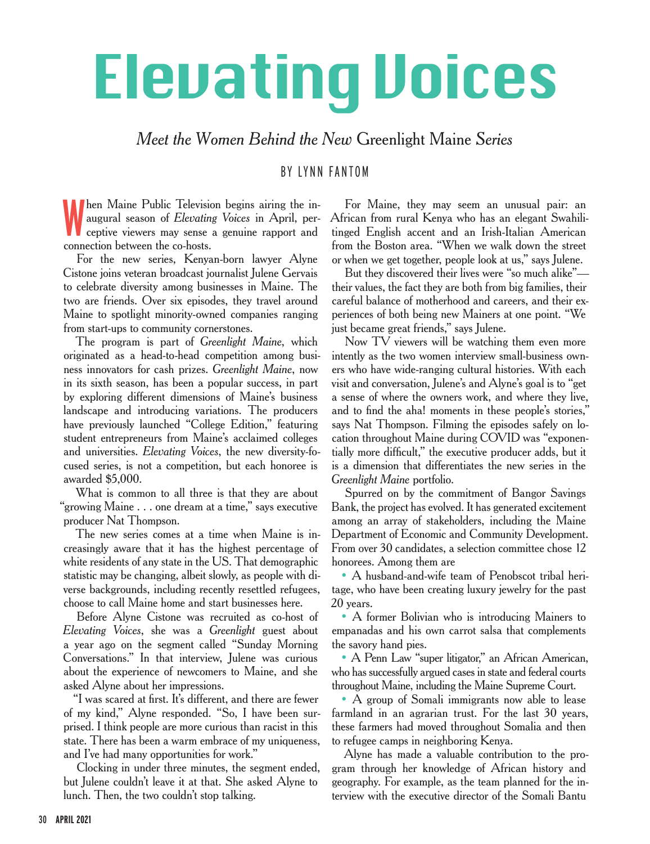## Elevating Voices

*Meet the Women Behind the New* Greenlight Maine *Series*

BY LYNN FANTOM

W hen Maine Public Television begins airing the inaugural season of *Elevating Voices* in April, perceptive viewers may sense a genuine rapport and connection between the co-hosts.

For the new series, Kenyan-born lawyer Alyne Cistone joins veteran broadcast journalist Julene Gervais to celebrate diversity among businesses in Maine. The two are friends. Over six episodes, they travel around Maine to spotlight minority-owned companies ranging from start-ups to community cornerstones.

The program is part of *Greenlight Maine*, which originated as a head-to-head competition among business innovators for cash prizes. *Greenlight Maine*, now in its sixth season, has been a popular success, in part by exploring different dimensions of Maine's business landscape and introducing variations. The producers have previously launched "College Edition," featuring student entrepreneurs from Maine's acclaimed colleges and universities. *Elevating Voices*, the new diversity-focused series, is not a competition, but each honoree is awarded \$5,000.

What is common to all three is that they are about "growing Maine . . . one dream at a time," says executive producer Nat Thompson.

The new series comes at a time when Maine is increasingly aware that it has the highest percentage of white residents of any state in the US. That demographic statistic may be changing, albeit slowly, as people with diverse backgrounds, including recently resettled refugees, choose to call Maine home and start businesses here.

Before Alyne Cistone was recruited as co-host of *Elevating Voices*, she was a *Greenlight* guest about a year ago on the segment called "Sunday Morning Conversations." In that interview, Julene was curious about the experience of newcomers to Maine, and she asked Alyne about her impressions.

"I was scared at first. It's different, and there are fewer of my kind," Alyne responded. "So, I have been surprised. I think people are more curious than racist in this state. There has been a warm embrace of my uniqueness, and I've had many opportunities for work."

Clocking in under three minutes, the segment ended, but Julene couldn't leave it at that. She asked Alyne to lunch. Then, the two couldn't stop talking.

For Maine, they may seem an unusual pair: an African from rural Kenya who has an elegant Swahilitinged English accent and an Irish-Italian American from the Boston area. "When we walk down the street or when we get together, people look at us," says Julene.

But they discovered their lives were "so much alike" their values, the fact they are both from big families, their careful balance of motherhood and careers, and their experiences of both being new Mainers at one point. "We just became great friends," says Julene.

Now TV viewers will be watching them even more intently as the two women interview small-business owners who have wide-ranging cultural histories. With each visit and conversation, Julene's and Alyne's goal is to "get a sense of where the owners work, and where they live, and to find the aha! moments in these people's stories, says Nat Thompson. Filming the episodes safely on location throughout Maine during COVID was "exponentially more difficult," the executive producer adds, but it is a dimension that differentiates the new series in the *Greenlight Maine* portfolio.

Spurred on by the commitment of Bangor Savings Bank, the project has evolved. It has generated excitement among an array of stakeholders, including the Maine Department of Economic and Community Development. From over 30 candidates, a selection committee chose 12 honorees. Among them are

• A husband-and-wife team of Penobscot tribal heritage, who have been creating luxury jewelry for the past 20 years.

• A former Bolivian who is introducing Mainers to empanadas and his own carrot salsa that complements the savory hand pies.

• A Penn Law "super litigator," an African American, who has successfully argued cases in state and federal courts throughout Maine, including the Maine Supreme Court.

• A group of Somali immigrants now able to lease farmland in an agrarian trust. For the last 30 years, these farmers had moved throughout Somalia and then to refugee camps in neighboring Kenya.

Alyne has made a valuable contribution to the program through her knowledge of African history and geography. For example, as the team planned for the interview with the executive director of the Somali Bantu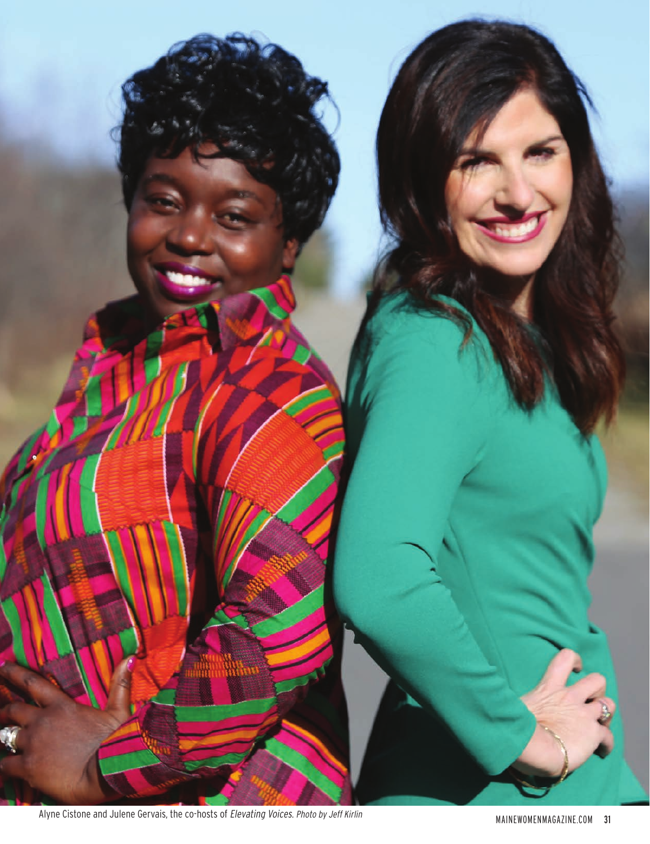

Alyne Cistone and Julene Gervais, the co-hosts of *Elevating Voices. Photo by Jeff Kirlin* MAINEWOMENMAGAZINE.COM 31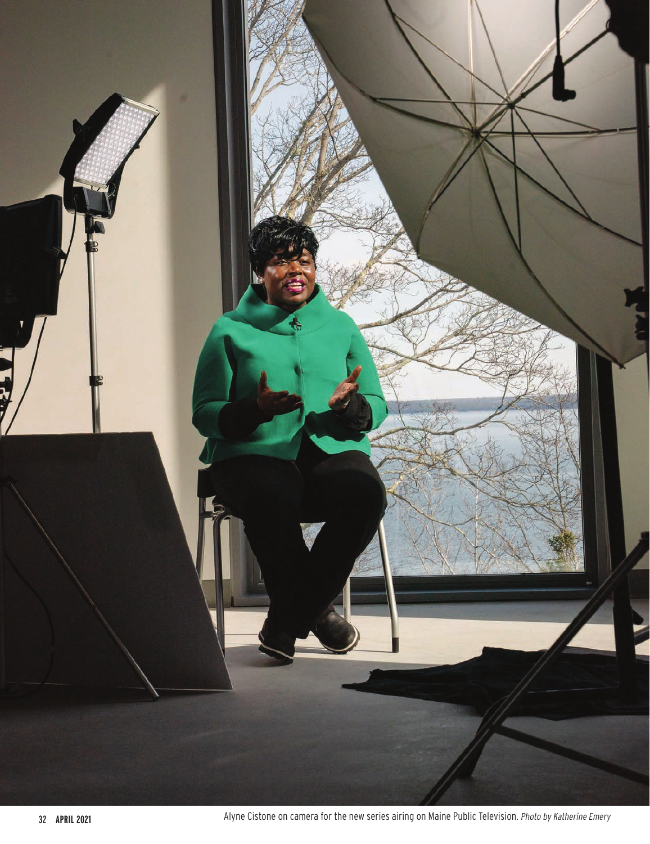

**APRIL 2021 Alyne Cistone on camera for the new series airing on Maine Public Television. Photo by Katherine Emery**